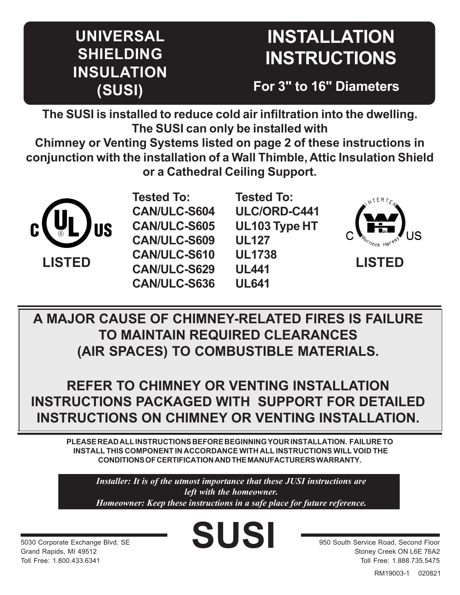## **UNIVERSAL SHIELDING INSULATION (SUSI)**

# **INSTALLATION INSTRUCTIONS**

**For 3" to 16" Diameters**

**The SUSI is installed to reduce cold air infiltration into the dwelling. The SUSI can only be installed with**

**Chimney or Venting Systems listed on page 2 of these instructions in conjunction with the installation of a Wall Thimble, Attic Insulation Shield or a Cathedral Ceiling Support.**



**Tested To: CAN/ULC-S604 CAN/ULC-S605 CAN/ULC-S609 CAN/ULC-S610 CAN/ULC-S629 CAN/ULC-S636**

**Tested To: ULC/ORD-C441 UL103 Type HT UL127 UL1738 UL441 UL641**



**LISTED**

**A MAJOR CAUSE OF CHIMNEY-RELATED FIRES IS FAILURE TO MAINTAIN REQUIRED CLEARANCES (AIR SPACES) TO COMBUSTIBLE MATERIALS.**

**REFER TO CHIMNEY OR VENTING INSTALLATION INSTRUCTIONS PACKAGED WITH SUPPORT FOR DETAILED INSTRUCTIONS ON CHIMNEY OR VENTING INSTALLATION.**

**PLEASE READ ALL INSTRUCTIONS BEFORE BEGINNING YOUR INSTALLATION. FAILURE TO INSTALL THIS COMPONENT IN ACCORDANCE WITH ALL INSTRUCTIONS WILL VOID THE CONDITIONS OF CERTIFICATION AND THE MANUFACTURERS WARRANTY.**

*Installer: It is of the utmost importance that these JUSI instructions are left with the homeowner. Homeowner: Keep these instructions in a safe place for future reference.*

**SUSI**

5030 Corporate Exchange Blvd. SE Grand Rapids, MI 49512 Toll Free: 1.800.433.6341

950 South Service Road, Second Floor Stoney Creek ON L6E 76A2 Toll Free: 1.888.735.5475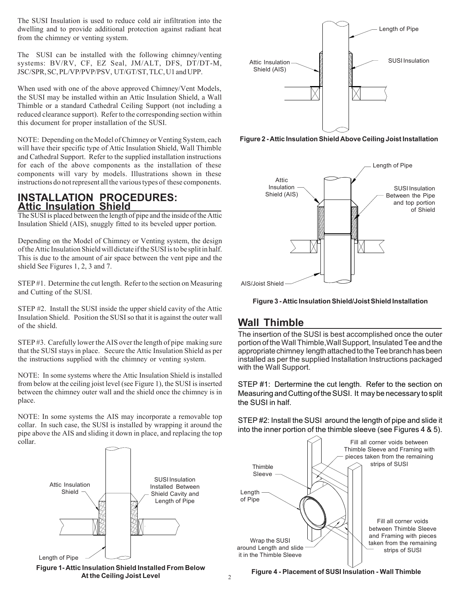The SUSI Insulation is used to reduce cold air infiltration into the dwelling and to provide additional protection against radiant heat from the chimney or venting system.

The SUSI can be installed with the following chimney/venting systems: BV/RV, CF, EZ Seal, JM/ALT, DFS, DT/DT-M, JSC/SPR, SC, PL/VP/PVP/PSV, UT/GT/ST, TLC, U1 and UPP.

When used with one of the above approved Chimney/Vent Models, the SUSI may be installed within an Attic Insulation Shield, a Wall Thimble or a standard Cathedral Ceiling Support (not including a reduced clearance support). Refer to the corresponding section within this document for proper installation of the SUSI.

NOTE: Depending on the Model of Chimney or Venting System, each will have their specific type of Attic Insulation Shield, Wall Thimble and Cathedral Support. Refer to the supplied installation instructions for each of the above components as the installation of these components will vary by models. Illustrations shown in these instructions do not represent all the various types of these components.

#### **INSTALLATION PROCEDURES: Attic Insulation Shield**

The SUSI is placed between the length of pipe and the inside of the Attic Insulation Shield (AIS), snuggly fitted to its beveled upper portion.

Depending on the Model of Chimney or Venting system, the design of the Attic Insulation Shield will dictate if the SUSI is to be split in half. This is due to the amount of air space between the vent pipe and the shield See Figures 1, 2, 3 and 7.

STEP #1. Determine the cut length. Refer to the section on Measuring and Cutting of the SUSI.

STEP #2. Install the SUSI inside the upper shield cavity of the Attic Insulation Shield. Position the SUSI so that it is against the outer wall of the shield.

STEP #3. Carefully lower the AIS over the length of pipe making sure that the SUSI stays in place. Secure the Attic Insulation Shield as per the instructions supplied with the chimney or venting system.

NOTE: In some systems where the Attic Insulation Shield is installed from below at the ceiling joist level (see Figure 1), the SUSI is inserted between the chimney outer wall and the shield once the chimney is in place.

NOTE: In some systems the AIS may incorporate a removable top collar. In such case, the SUSI is installed by wrapping it around the pipe above the AIS and sliding it down in place, and replacing the top collar.



**Figure 1- Attic Insulation Shield Installed From Below At the Ceiling Joist Level**



**Figure 2 - Attic Insulation Shield Above Ceiling Joist Installation**





#### **Wall Thimble**

The insertion of the SUSI is best accomplished once the outer portion of the Wall Thimble,Wall Support, Insulated Tee and the appropriate chimney length attached to the Tee branch has been installed as per the supplied Installation Instructions packaged with the Wall Support.

STEP #1: Dertermine the cut length. Refer to the section on Measuring and Cutting of the SUSI. It may be necessary to split the SUSI in half.

STEP #2: Install the SUSI around the length of pipe and slide it into the inner portion of the thimble sleeve (see Figures 4 & 5).



**Figure 4 - Placement of SUSI Insulation - Wall Thimble**